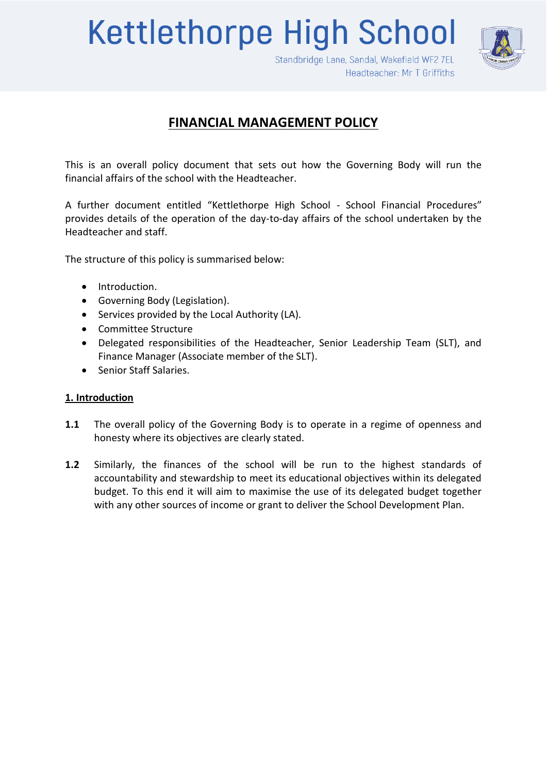**Kettlethorpe High School** 



Standbridge Lane, Sandal, Wakefield WF2 7EL Headteacher: Mr T Griffiths

# **FINANCIAL MANAGEMENT POLICY**

This is an overall policy document that sets out how the Governing Body will run the financial affairs of the school with the Headteacher.

A further document entitled "Kettlethorpe High School - School Financial Procedures" provides details of the operation of the day-to-day affairs of the school undertaken by the Headteacher and staff.

The structure of this policy is summarised below:

- Introduction.
- Governing Body (Legislation).
- Services provided by the Local Authority (LA).
- Committee Structure
- Delegated responsibilities of the Headteacher, Senior Leadership Team (SLT), and Finance Manager (Associate member of the SLT).
- Senior Staff Salaries.

# **1. Introduction**

- **1.1** The overall policy of the Governing Body is to operate in a regime of openness and honesty where its objectives are clearly stated.
- **1.2** Similarly, the finances of the school will be run to the highest standards of accountability and stewardship to meet its educational objectives within its delegated budget. To this end it will aim to maximise the use of its delegated budget together with any other sources of income or grant to deliver the School Development Plan.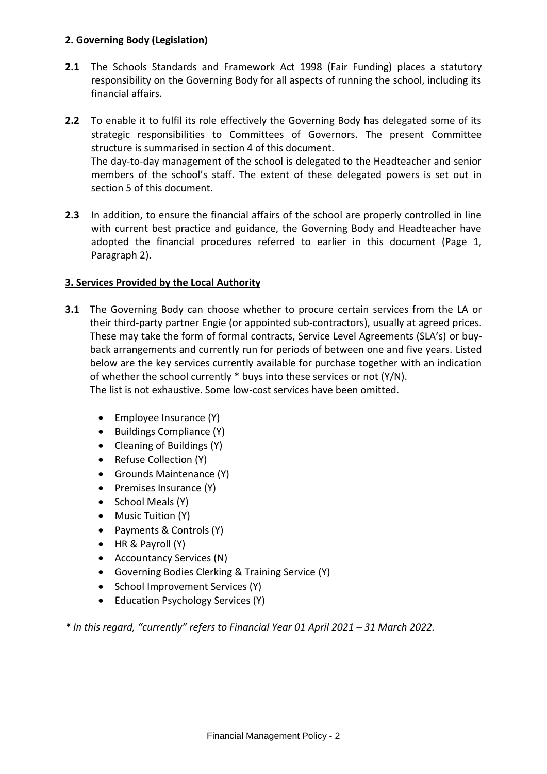## **2. Governing Body (Legislation)**

- **2.1** The Schools Standards and Framework Act 1998 (Fair Funding) places a statutory responsibility on the Governing Body for all aspects of running the school, including its financial affairs.
- **2.2** To enable it to fulfil its role effectively the Governing Body has delegated some of its strategic responsibilities to Committees of Governors. The present Committee structure is summarised in section 4 of this document. The day-to-day management of the school is delegated to the Headteacher and senior members of the school's staff. The extent of these delegated powers is set out in section 5 of this document.
- **2.3** In addition, to ensure the financial affairs of the school are properly controlled in line with current best practice and guidance, the Governing Body and Headteacher have adopted the financial procedures referred to earlier in this document (Page 1, Paragraph 2).

### **3. Services Provided by the Local Authority**

- **3.1** The Governing Body can choose whether to procure certain services from the LA or their third-party partner Engie (or appointed sub-contractors), usually at agreed prices. These may take the form of formal contracts, Service Level Agreements (SLA's) or buyback arrangements and currently run for periods of between one and five years. Listed below are the key services currently available for purchase together with an indication of whether the school currently \* buys into these services or not (Y/N). The list is not exhaustive. Some low-cost services have been omitted.
	- $\bullet$  Employee Insurance (Y)
	- $\bullet$  Buildings Compliance (Y)
	- Cleaning of Buildings (Y)
	- Refuse Collection (Y)
	- Grounds Maintenance (Y)
	- $\bullet$  Premises Insurance (Y)
	- School Meals (Y)
	- Music Tuition (Y)
	- Payments & Controls (Y)
	- HR & Payroll (Y)
	- Accountancy Services (N)
	- Governing Bodies Clerking & Training Service (Y)
	- School Improvement Services (Y)
	- Education Psychology Services (Y)

*\* In this regard, "currently" refers to Financial Year 01 April 2021 – 31 March 2022.*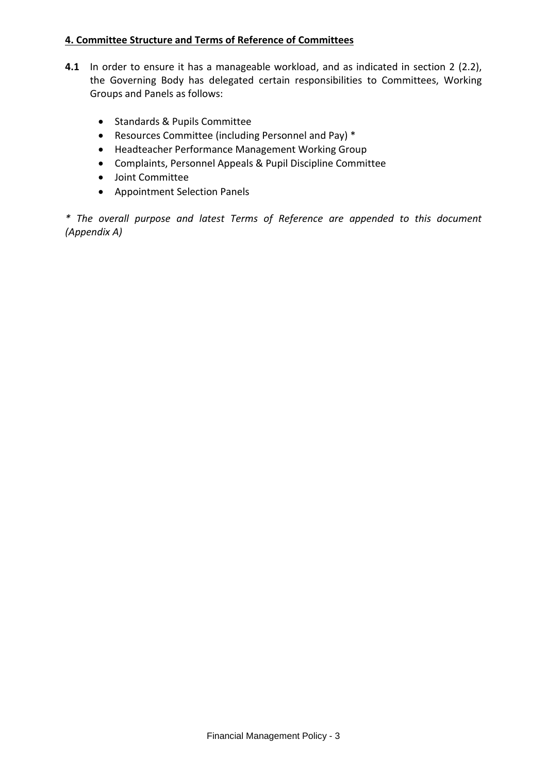### **4. Committee Structure and Terms of Reference of Committees**

- **4.1** In order to ensure it has a manageable workload, and as indicated in section 2 (2.2), the Governing Body has delegated certain responsibilities to Committees, Working Groups and Panels as follows:
	- Standards & Pupils Committee
	- Resources Committee (including Personnel and Pay) \*
	- Headteacher Performance Management Working Group
	- Complaints, Personnel Appeals & Pupil Discipline Committee
	- Joint Committee
	- Appointment Selection Panels

*\* The overall purpose and latest Terms of Reference are appended to this document (Appendix A)*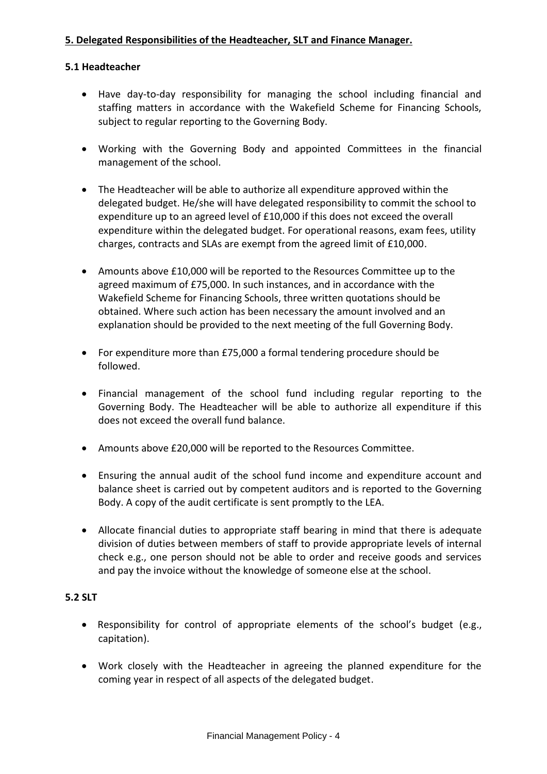## **5. Delegated Responsibilities of the Headteacher, SLT and Finance Manager.**

#### **5.1 Headteacher**

- Have day-to-day responsibility for managing the school including financial and staffing matters in accordance with the Wakefield Scheme for Financing Schools, subject to regular reporting to the Governing Body.
- Working with the Governing Body and appointed Committees in the financial management of the school.
- The Headteacher will be able to authorize all expenditure approved within the delegated budget. He/she will have delegated responsibility to commit the school to expenditure up to an agreed level of £10,000 if this does not exceed the overall expenditure within the delegated budget. For operational reasons, exam fees, utility charges, contracts and SLAs are exempt from the agreed limit of £10,000.
- Amounts above £10,000 will be reported to the Resources Committee up to the agreed maximum of £75,000. In such instances, and in accordance with the Wakefield Scheme for Financing Schools, three written quotations should be obtained. Where such action has been necessary the amount involved and an explanation should be provided to the next meeting of the full Governing Body.
- For expenditure more than £75,000 a formal tendering procedure should be followed.
- Financial management of the school fund including regular reporting to the Governing Body. The Headteacher will be able to authorize all expenditure if this does not exceed the overall fund balance.
- Amounts above £20,000 will be reported to the Resources Committee.
- Ensuring the annual audit of the school fund income and expenditure account and balance sheet is carried out by competent auditors and is reported to the Governing Body. A copy of the audit certificate is sent promptly to the LEA.
- Allocate financial duties to appropriate staff bearing in mind that there is adequate division of duties between members of staff to provide appropriate levels of internal check e.g., one person should not be able to order and receive goods and services and pay the invoice without the knowledge of someone else at the school.

#### **5.2 SLT**

- Responsibility for control of appropriate elements of the school's budget (e.g., capitation).
- Work closely with the Headteacher in agreeing the planned expenditure for the coming year in respect of all aspects of the delegated budget.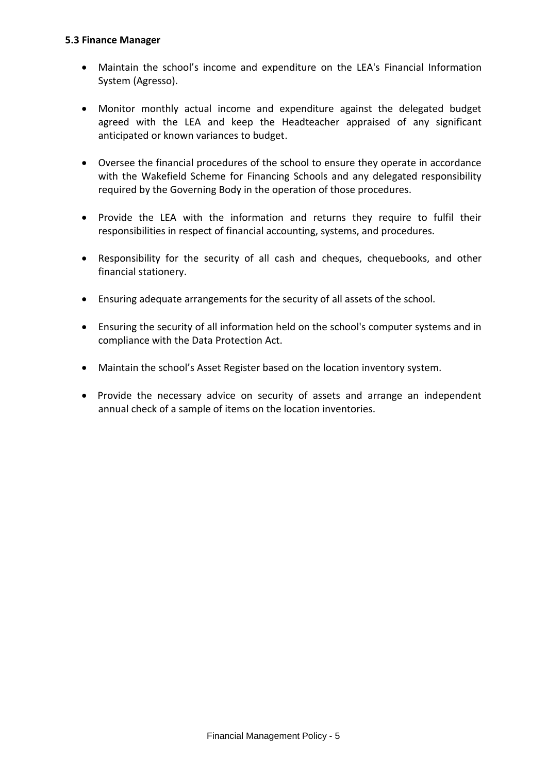#### **5.3 Finance Manager**

- Maintain the school's income and expenditure on the LEA's Financial Information System (Agresso).
- Monitor monthly actual income and expenditure against the delegated budget agreed with the LEA and keep the Headteacher appraised of any significant anticipated or known variances to budget.
- Oversee the financial procedures of the school to ensure they operate in accordance with the Wakefield Scheme for Financing Schools and any delegated responsibility required by the Governing Body in the operation of those procedures.
- Provide the LEA with the information and returns they require to fulfil their responsibilities in respect of financial accounting, systems, and procedures.
- Responsibility for the security of all cash and cheques, chequebooks, and other financial stationery.
- Ensuring adequate arrangements for the security of all assets of the school.
- Ensuring the security of all information held on the school's computer systems and in compliance with the Data Protection Act.
- Maintain the school's Asset Register based on the location inventory system.
- Provide the necessary advice on security of assets and arrange an independent annual check of a sample of items on the location inventories.